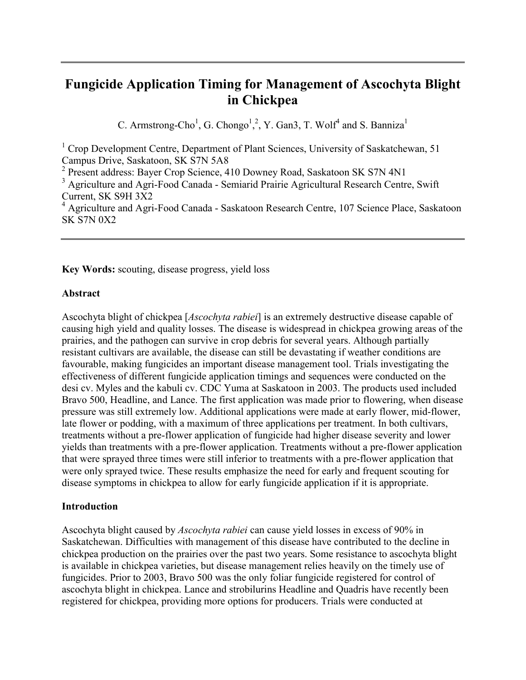# **Fungicide Application Timing for Management of Ascochyta Blight in Chickpea**

C. Armstrong-Cho<sup>1</sup>, G. Chongo<sup>1</sup>,<sup>2</sup>, Y. Gan3, T. Wolf<sup>4</sup> and S. Banniza<sup>1</sup>

<sup>1</sup> Crop Development Centre, Department of Plant Sciences, University of Saskatchewan, 51 Campus Drive, Saskatoon, SK S7N 5A8

<sup>2</sup> Present address: Bayer Crop Science, 410 Downey Road, Saskatoon SK S7N 4N1

**Key Words:** scouting, disease progress, yield loss

## **Abstract**

Ascochyta blight of chickpea [*Ascochyta rabiei*] is an extremely destructive disease capable of causing high yield and quality losses. The disease is widespread in chickpea growing areas of the prairies, and the pathogen can survive in crop debris for several years. Although partially resistant cultivars are available, the disease can still be devastating if weather conditions are favourable, making fungicides an important disease management tool. Trials investigating the effectiveness of different fungicide application timings and sequences were conducted on the desi cv. Myles and the kabuli cv. CDC Yuma at Saskatoon in 2003. The products used included Bravo 500, Headline, and Lance. The first application was made prior to flowering, when disease pressure was still extremely low. Additional applications were made at early flower, mid-flower, late flower or podding, with a maximum of three applications per treatment. In both cultivars, treatments without a pre-flower application of fungicide had higher disease severity and lower yields than treatments with a pre-flower application. Treatments without a pre-flower application that were sprayed three times were still inferior to treatments with a pre-flower application that were only sprayed twice. These results emphasize the need for early and frequent scouting for disease symptoms in chickpea to allow for early fungicide application if it is appropriate.

## **Introduction**

Ascochyta blight caused by *Ascochyta rabiei* can cause yield losses in excess of 90% in Saskatchewan. Difficulties with management of this disease have contributed to the decline in chickpea production on the prairies over the past two years. Some resistance to ascochyta blight is available in chickpea varieties, but disease management relies heavily on the timely use of fungicides. Prior to 2003, Bravo 500 was the only foliar fungicide registered for control of ascochyta blight in chickpea. Lance and strobilurins Headline and Quadris have recently been registered for chickpea, providing more options for producers. Trials were conducted at

<sup>&</sup>lt;sup>3</sup> Agriculture and Agri-Food Canada - Semiarid Prairie Agricultural Research Centre, Swift Current, SK S9H 3X2

<sup>&</sup>lt;sup>4</sup> Agriculture and Agri-Food Canada - Saskatoon Research Centre, 107 Science Place, Saskatoon SK S7N 0X2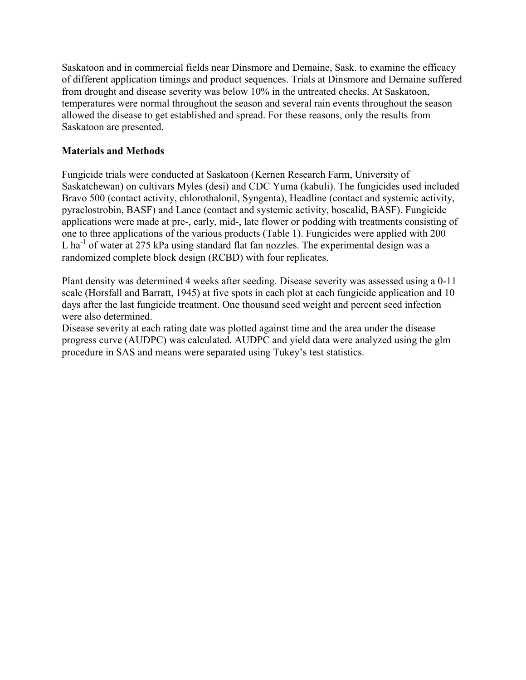Saskatoon and in commercial fields near Dinsmore and Demaine, Sask. to examine the efficacy of different application timings and product sequences. Trials at Dinsmore and Demaine suffered from drought and disease severity was below 10% in the untreated checks. At Saskatoon, temperatures were normal throughout the season and several rain events throughout the season allowed the disease to get established and spread. For these reasons, only the results from Saskatoon are presented.

# **Materials and Methods**

Fungicide trials were conducted at Saskatoon (Kernen Research Farm, University of Saskatchewan) on cultivars Myles (desi) and CDC Yuma (kabuli). The fungicides used included Bravo 500 (contact activity, chlorothalonil, Syngenta), Headline (contact and systemic activity, pyraclostrobin, BASF) and Lance (contact and systemic activity, boscalid, BASF). Fungicide applications were made at pre-, early, mid-, late flower or podding with treatments consisting of one to three applications of the various products (Table 1). Fungicides were applied with 200 L ha<sup>-1</sup> of water at 275 kPa using standard flat fan nozzles. The experimental design was a randomized complete block design (RCBD) with four replicates.

Plant density was determined 4 weeks after seeding. Disease severity was assessed using a 0-11 scale (Horsfall and Barratt, 1945) at five spots in each plot at each fungicide application and 10 days after the last fungicide treatment. One thousand seed weight and percent seed infection were also determined.

Disease severity at each rating date was plotted against time and the area under the disease progress curve (AUDPC) was calculated. AUDPC and yield data were analyzed using the glm procedure in SAS and means were separated using Tukey's test statistics.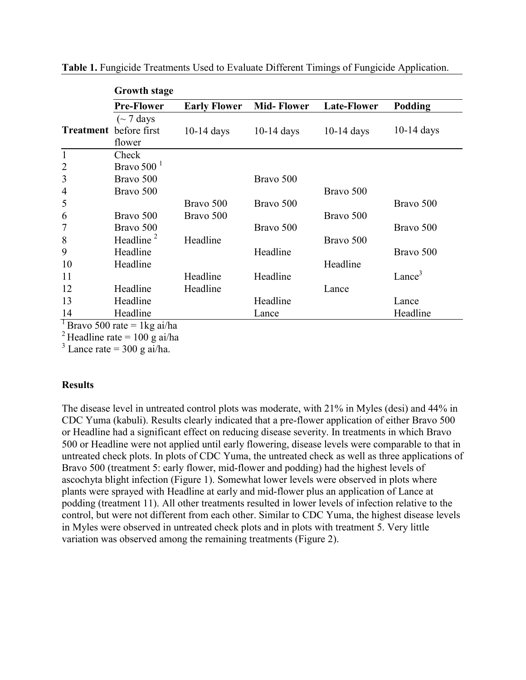|                | <b>Growth stage</b>           |                     |                   |                    |                    |
|----------------|-------------------------------|---------------------|-------------------|--------------------|--------------------|
|                | <b>Pre-Flower</b>             | <b>Early Flower</b> | <b>Mid-Flower</b> | <b>Late-Flower</b> | Podding            |
|                | $\sim$ 7 days                 |                     |                   |                    |                    |
|                | <b>Treatment</b> before first | $10-14$ days        | $10-14$ days      | $10-14$ days       | $10-14$ days       |
|                | flower                        |                     |                   |                    |                    |
| $\mathbf{1}$   | Check                         |                     |                   |                    |                    |
| $\overline{2}$ | Bravo 500 $1$                 |                     |                   |                    |                    |
| 3              | Bravo 500                     |                     | Bravo 500         |                    |                    |
| $\overline{4}$ | Bravo 500                     |                     |                   | Bravo 500          |                    |
| 5              |                               | Bravo 500           | Bravo 500         |                    | Bravo 500          |
| 6              | Bravo 500                     | Bravo 500           |                   | Bravo 500          |                    |
| 7              | Bravo 500                     |                     | Bravo 500         |                    | Bravo 500          |
| 8              | Headline $2$                  | Headline            |                   | Bravo 500          |                    |
| 9              | Headline                      |                     | Headline          |                    | Bravo 500          |
| 10             | Headline                      |                     |                   | Headline           |                    |
| 11             |                               | Headline            | Headline          |                    | Lance <sup>3</sup> |
| 12             | Headline                      | Headline            |                   | Lance              |                    |
| 13             | Headline                      |                     | Headline          |                    | Lance              |
| 14<br>᠇        | Headline                      |                     | Lance             |                    | Headline           |

**Table 1.** Fungicide Treatments Used to Evaluate Different Timings of Fungicide Application.

<sup>1</sup> Bravo 500 rate = 1 kg ai/ha

 $^{2}$ Headline rate = 100 g ai/ha

 $3$  Lance rate = 300 g ai/ha.

## **Results**

The disease level in untreated control plots was moderate, with 21% in Myles (desi) and 44% in CDC Yuma (kabuli). Results clearly indicated that a pre-flower application of either Bravo 500 or Headline had a significant effect on reducing disease severity. In treatments in which Bravo 500 or Headline were not applied until early flowering, disease levels were comparable to that in untreated check plots. In plots of CDC Yuma, the untreated check as well as three applications of Bravo 500 (treatment 5: early flower, mid-flower and podding) had the highest levels of ascochyta blight infection (Figure 1). Somewhat lower levels were observed in plots where plants were sprayed with Headline at early and mid-flower plus an application of Lance at podding (treatment 11). All other treatments resulted in lower levels of infection relative to the control, but were not different from each other. Similar to CDC Yuma, the highest disease levels in Myles were observed in untreated check plots and in plots with treatment 5. Very little variation was observed among the remaining treatments (Figure 2).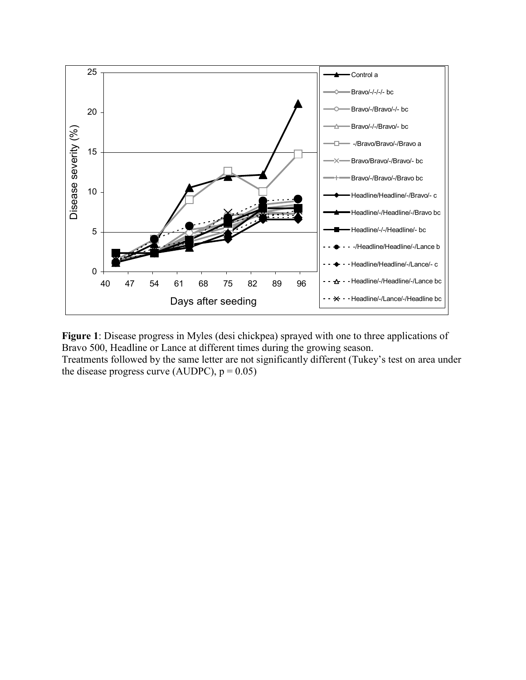

**Figure 1**: Disease progress in Myles (desi chickpea) sprayed with one to three applications of Bravo 500, Headline or Lance at different times during the growing season. Treatments followed by the same letter are not significantly different (Tukey's test on area under the disease progress curve (AUDPC),  $p = 0.05$ )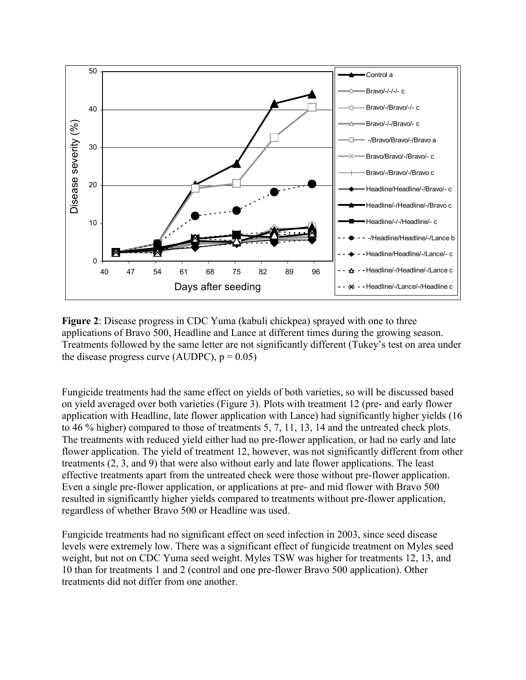

**Figure 2**: Disease progress in CDC Yuma (kabuli chickpea) sprayed with one to three applications of Bravo 500, Headline and Lance at different times during the growing season. Treatments followed by the same letter are not significantly different (Tukey's test on area under the disease progress curve (AUDPC),  $p = 0.05$ )

Fungicide treatments had the same effect on yields of both varieties, so will be discussed based on yield averaged over both varieties (Figure 3). Plots with treatment 12 (pre- and early flower application with Headline, late flower application with Lance) had significantly higher yields (16 to 46 % higher) compared to those of treatments 5, 7, 11, 13, 14 and the untreated check plots. The treatments with reduced yield either had no pre-flower application, or had no early and late flower application. The yield of treatment 12, however, was not significantly different from other treatments (2, 3, and 9) that were also without early and late flower applications. The least effective treatments apart from the untreated check were those without pre-flower application. Even a single pre-flower application, or applications at pre- and mid flower with Bravo 500 resulted in significantly higher yields compared to treatments without pre-flower application, regardless of whether Bravo 500 or Headline was used.

Fungicide treatments had no significant effect on seed infection in 2003, since seed disease levels were extremely low. There was a significant effect of fungicide treatment on Myles seed weight, but not on CDC Yuma seed weight. Myles TSW was higher for treatments 12, 13, and 10 than for treatments 1 and 2 (control and one pre-flower Bravo 500 application). Other treatments did not differ from one another.